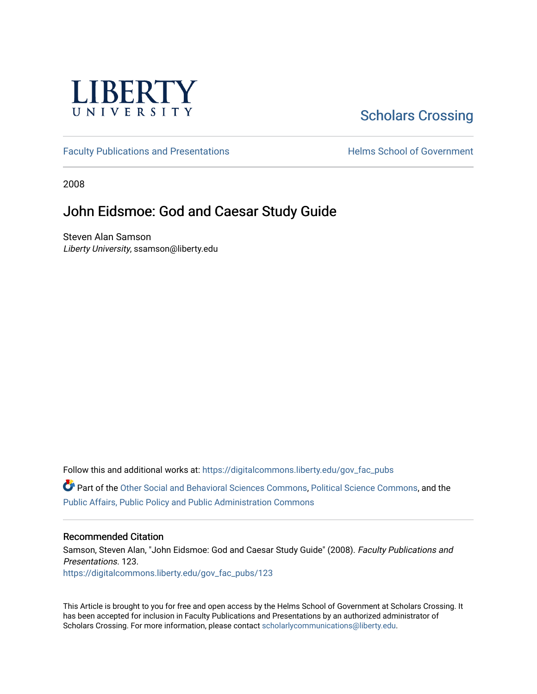

# [Scholars Crossing](https://digitalcommons.liberty.edu/)

[Faculty Publications and Presentations](https://digitalcommons.liberty.edu/gov_fac_pubs) **Exercise School of Government** 

2008

# John Eidsmoe: God and Caesar Study Guide

Steven Alan Samson Liberty University, ssamson@liberty.edu

Follow this and additional works at: [https://digitalcommons.liberty.edu/gov\\_fac\\_pubs](https://digitalcommons.liberty.edu/gov_fac_pubs?utm_source=digitalcommons.liberty.edu%2Fgov_fac_pubs%2F123&utm_medium=PDF&utm_campaign=PDFCoverPages)

Part of the [Other Social and Behavioral Sciences Commons](http://network.bepress.com/hgg/discipline/437?utm_source=digitalcommons.liberty.edu%2Fgov_fac_pubs%2F123&utm_medium=PDF&utm_campaign=PDFCoverPages), [Political Science Commons](http://network.bepress.com/hgg/discipline/386?utm_source=digitalcommons.liberty.edu%2Fgov_fac_pubs%2F123&utm_medium=PDF&utm_campaign=PDFCoverPages), and the [Public Affairs, Public Policy and Public Administration Commons](http://network.bepress.com/hgg/discipline/393?utm_source=digitalcommons.liberty.edu%2Fgov_fac_pubs%2F123&utm_medium=PDF&utm_campaign=PDFCoverPages)

### Recommended Citation

Samson, Steven Alan, "John Eidsmoe: God and Caesar Study Guide" (2008). Faculty Publications and Presentations. 123. [https://digitalcommons.liberty.edu/gov\\_fac\\_pubs/123](https://digitalcommons.liberty.edu/gov_fac_pubs/123?utm_source=digitalcommons.liberty.edu%2Fgov_fac_pubs%2F123&utm_medium=PDF&utm_campaign=PDFCoverPages)

This Article is brought to you for free and open access by the Helms School of Government at Scholars Crossing. It has been accepted for inclusion in Faculty Publications and Presentations by an authorized administrator of Scholars Crossing. For more information, please contact [scholarlycommunications@liberty.edu.](mailto:scholarlycommunications@liberty.edu)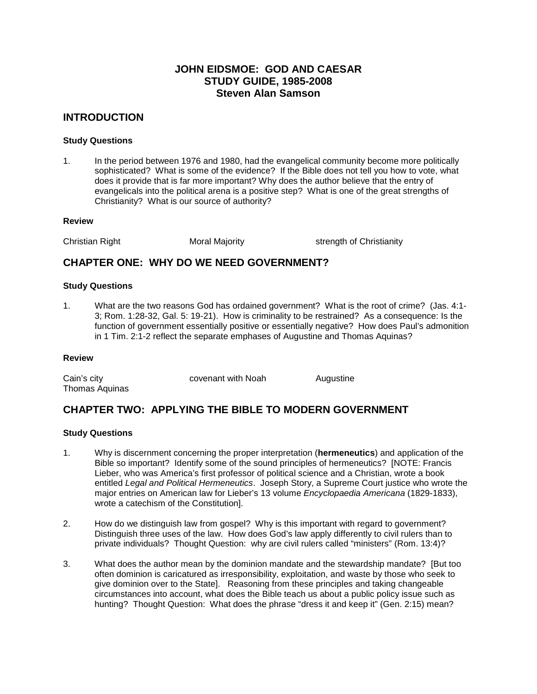### **JOHN EIDSMOE: GOD AND CAESAR STUDY GUIDE, 1985-2008 Steven Alan Samson**

### **INTRODUCTION**

### **Study Questions**

1. In the period between 1976 and 1980, had the evangelical community become more politically sophisticated? What is some of the evidence? If the Bible does not tell you how to vote, what does it provide that is far more important? Why does the author believe that the entry of evangelicals into the political arena is a positive step? What is one of the great strengths of Christianity? What is our source of authority?

#### **Review**

Christian Right Moral Majority Strength of Christianity

### **CHAPTER ONE: WHY DO WE NEED GOVERNMENT?**

#### **Study Questions**

1. What are the two reasons God has ordained government? What is the root of crime? (Jas. 4:1- 3; Rom. 1:28-32, Gal. 5: 19-21). How is criminality to be restrained? As a consequence: Is the function of government essentially positive or essentially negative? How does Paul's admonition in 1 Tim. 2:1-2 reflect the separate emphases of Augustine and Thomas Aquinas?

### **Review**

| Cain's city    | covenant with Noah | Augustine |
|----------------|--------------------|-----------|
| Thomas Aquinas |                    |           |

# **CHAPTER TWO: APPLYING THE BIBLE TO MODERN GOVERNMENT**

### **Study Questions**

- 1. Why is discernment concerning the proper interpretation (**hermeneutics**) and application of the Bible so important? Identify some of the sound principles of hermeneutics? [NOTE: Francis Lieber, who was America's first professor of political science and a Christian, wrote a book entitled *Legal and Political Hermeneutics*. Joseph Story, a Supreme Court justice who wrote the major entries on American law for Lieber's 13 volume *Encyclopaedia Americana* (1829-1833), wrote a catechism of the Constitution].
- 2. How do we distinguish law from gospel? Why is this important with regard to government? Distinguish three uses of the law. How does God's law apply differently to civil rulers than to private individuals? Thought Question: why are civil rulers called "ministers" (Rom. 13:4)?
- 3. What does the author mean by the dominion mandate and the stewardship mandate? [But too often dominion is caricatured as irresponsibility, exploitation, and waste by those who seek to give dominion over to the State]. Reasoning from these principles and taking changeable circumstances into account, what does the Bible teach us about a public policy issue such as hunting? Thought Question: What does the phrase "dress it and keep it" (Gen. 2:15) mean?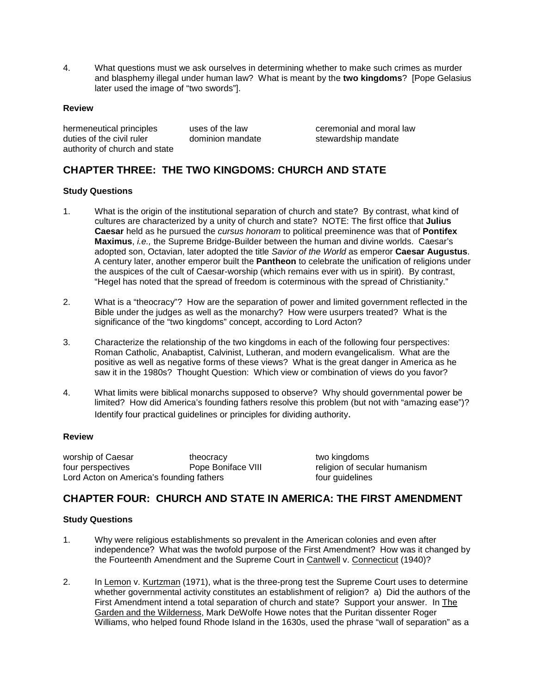4. What questions must we ask ourselves in determining whether to make such crimes as murder and blasphemy illegal under human law? What is meant by the **two kingdoms**? [Pope Gelasius later used the image of "two swords"].

### **Review**

hermeneutical principles uses of the law ceremonial and moral law duties of the civil ruler dominion mandate stewardship mandate authority of church and state

# **CHAPTER THREE: THE TWO KINGDOMS: CHURCH AND STATE**

### **Study Questions**

- 1. What is the origin of the institutional separation of church and state? By contrast, what kind of cultures are characterized by a unity of church and state? NOTE: The first office that **Julius Caesar** held as he pursued the *cursus honoram* to political preeminence was that of **Pontifex Maximus**, *i.e.,* the Supreme Bridge-Builder between the human and divine worlds. Caesar's adopted son, Octavian, later adopted the title *Savior of the World* as emperor **Caesar Augustus**. A century later, another emperor built the **Pantheon** to celebrate the unification of religions under the auspices of the cult of Caesar-worship (which remains ever with us in spirit). By contrast, "Hegel has noted that the spread of freedom is coterminous with the spread of Christianity."
- 2. What is a "theocracy"? How are the separation of power and limited government reflected in the Bible under the judges as well as the monarchy? How were usurpers treated? What is the significance of the "two kingdoms" concept, according to Lord Acton?
- 3. Characterize the relationship of the two kingdoms in each of the following four perspectives: Roman Catholic, Anabaptist, Calvinist, Lutheran, and modern evangelicalism. What are the positive as well as negative forms of these views? What is the great danger in America as he saw it in the 1980s? Thought Question: Which view or combination of views do you favor?
- 4. What limits were biblical monarchs supposed to observe? Why should governmental power be limited? How did America's founding fathers resolve this problem (but not with "amazing ease")? Identify four practical guidelines or principles for dividing authority.

### **Review**

worship of Caesar theocracy theocracy two kingdoms<br>
four perspectives Theope Boniface VIII Theory of section of section four perspectives **Pope Boniface VIII** religion of secular humanism Lord Acton on America's founding fathers **four guidelines** four guidelines

# **CHAPTER FOUR: CHURCH AND STATE IN AMERICA: THE FIRST AMENDMENT**

### **Study Questions**

- 1. Why were religious establishments so prevalent in the American colonies and even after independence? What was the twofold purpose of the First Amendment? How was it changed by the Fourteenth Amendment and the Supreme Court in Cantwell v. Connecticut (1940)?
- 2. In Lemon v. Kurtzman (1971), what is the three-prong test the Supreme Court uses to determine whether governmental activity constitutes an establishment of religion? a) Did the authors of the First Amendment intend a total separation of church and state? Support your answer. In The Garden and the Wilderness, Mark DeWolfe Howe notes that the Puritan dissenter Roger Williams, who helped found Rhode Island in the 1630s, used the phrase "wall of separation" as a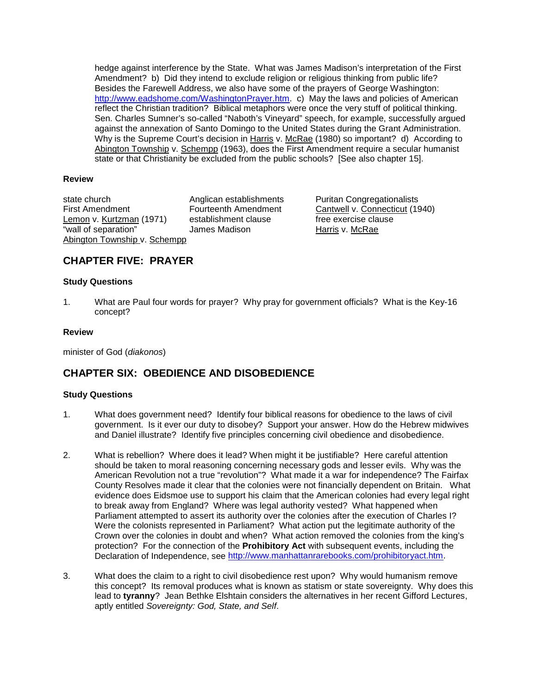hedge against interference by the State. What was James Madison's interpretation of the First Amendment? b) Did they intend to exclude religion or religious thinking from public life? Besides the Farewell Address, we also have some of the prayers of George Washington: [http://www.eadshome.com/WashingtonPrayer.htm.](http://www.eadshome.com/WashingtonPrayer.htm) c) May the laws and policies of American reflect the Christian tradition? Biblical metaphors were once the very stuff of political thinking. Sen. Charles Sumner's so-called "Naboth's Vineyard" speech, for example, successfully argued against the annexation of Santo Domingo to the United States during the Grant Administration. Why is the Supreme Court's decision in Harris v. McRae (1980) so important? d) According to Abington Township v. Schempp (1963), does the First Amendment require a secular humanist state or that Christianity be excluded from the public schools? [See also chapter 15].

### **Review**

state church **Anglican establishments** Puritan Congregationalists Lemon v. Kurtzman (1971) "wall of separation" James Madison **Harris v. McRae** Abington Township v. Schempp

First Amendment Fourteenth Amendment Continuell v. Connecticut (1940)<br>
Lemon v. Kurtzman (1971) establishment clause free exercise clause

# **CHAPTER FIVE: PRAYER**

### **Study Questions**

1. What are Paul four words for prayer? Why pray for government officials? What is the Key-16 concept?

### **Review**

minister of God (*diakonos*)

# **CHAPTER SIX: OBEDIENCE AND DISOBEDIENCE**

### **Study Questions**

- 1. What does government need? Identify four biblical reasons for obedience to the laws of civil government. Is it ever our duty to disobey? Support your answer. How do the Hebrew midwives and Daniel illustrate? Identify five principles concerning civil obedience and disobedience.
- 2. What is rebellion? Where does it lead? When might it be justifiable? Here careful attention should be taken to moral reasoning concerning necessary gods and lesser evils. Why was the American Revolution not a true "revolution"? What made it a war for independence? The Fairfax County Resolves made it clear that the colonies were not financially dependent on Britain. What evidence does Eidsmoe use to support his claim that the American colonies had every legal right to break away from England? Where was legal authority vested? What happened when Parliament attempted to assert its authority over the colonies after the execution of Charles I? Were the colonists represented in Parliament? What action put the legitimate authority of the Crown over the colonies in doubt and when? What action removed the colonies from the king's protection? For the connection of the **Prohibitory Act** with subsequent events, including the Declaration of Independence, see [http://www.manhattanrarebooks.com/prohibitoryact.htm.](http://www.manhattanrarebooks.com/prohibitoryact.htm)
- 3. What does the claim to a right to civil disobedience rest upon? Why would humanism remove this concept? Its removal produces what is known as statism or state sovereignty. Why does this lead to **tyranny**? Jean Bethke Elshtain considers the alternatives in her recent Gifford Lectures, aptly entitled *Sovereignty: God, State, and Self*.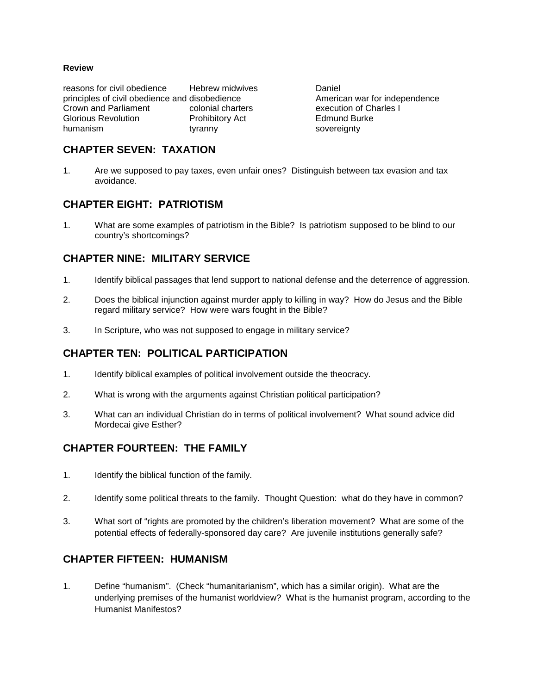### **Review**

reasons for civil obedience Hebrew midwives **Daniel**<br>
principles of civil obedience and disobedience **Daniel American war for independence** principles of civil obedience and disobedience Crown and Parliament colonial charters execution of Charles I Glorious Revolution **Prohibitory Act** Edmund Burke<br>
the Edmund Burke burn anism<br>
Sovereignty tyranny sovereignty

### **CHAPTER SEVEN: TAXATION**

1. Are we supposed to pay taxes, even unfair ones? Distinguish between tax evasion and tax avoidance.

### **CHAPTER EIGHT: PATRIOTISM**

1. What are some examples of patriotism in the Bible? Is patriotism supposed to be blind to our country's shortcomings?

### **CHAPTER NINE: MILITARY SERVICE**

- 1. Identify biblical passages that lend support to national defense and the deterrence of aggression.
- 2. Does the biblical injunction against murder apply to killing in way? How do Jesus and the Bible regard military service? How were wars fought in the Bible?
- 3. In Scripture, who was not supposed to engage in military service?

# **CHAPTER TEN: POLITICAL PARTICIPATION**

- 1. Identify biblical examples of political involvement outside the theocracy.
- 2. What is wrong with the arguments against Christian political participation?
- 3. What can an individual Christian do in terms of political involvement? What sound advice did Mordecai give Esther?

# **CHAPTER FOURTEEN: THE FAMILY**

- 1. Identify the biblical function of the family.
- 2. Identify some political threats to the family. Thought Question: what do they have in common?
- 3. What sort of "rights are promoted by the children's liberation movement? What are some of the potential effects of federally-sponsored day care? Are juvenile institutions generally safe?

### **CHAPTER FIFTEEN: HUMANISM**

1. Define "humanism". (Check "humanitarianism", which has a similar origin). What are the underlying premises of the humanist worldview? What is the humanist program, according to the Humanist Manifestos?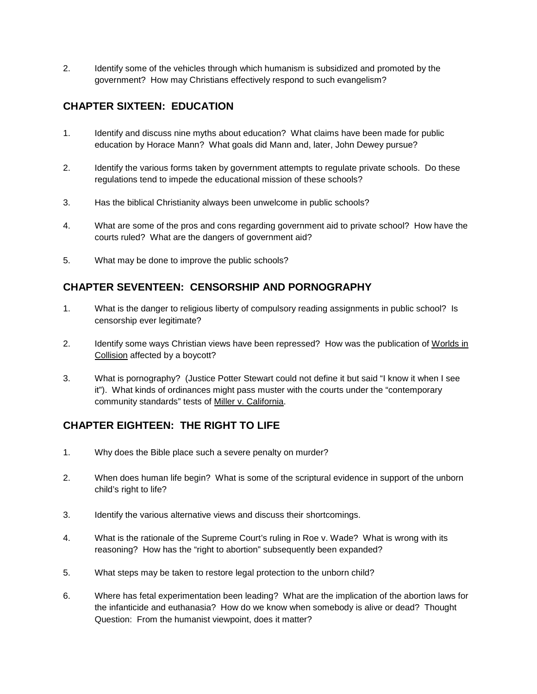2. Identify some of the vehicles through which humanism is subsidized and promoted by the government? How may Christians effectively respond to such evangelism?

# **CHAPTER SIXTEEN: EDUCATION**

- 1. Identify and discuss nine myths about education? What claims have been made for public education by Horace Mann? What goals did Mann and, later, John Dewey pursue?
- 2. Identify the various forms taken by government attempts to regulate private schools. Do these regulations tend to impede the educational mission of these schools?
- 3. Has the biblical Christianity always been unwelcome in public schools?
- 4. What are some of the pros and cons regarding government aid to private school? How have the courts ruled? What are the dangers of government aid?
- 5. What may be done to improve the public schools?

# **CHAPTER SEVENTEEN: CENSORSHIP AND PORNOGRAPHY**

- 1. What is the danger to religious liberty of compulsory reading assignments in public school? Is censorship ever legitimate?
- 2. Identify some ways Christian views have been repressed? How was the publication of Worlds in Collision affected by a boycott?
- 3. What is pornography? (Justice Potter Stewart could not define it but said "I know it when I see it"). What kinds of ordinances might pass muster with the courts under the "contemporary community standards" tests of Miller v. California.

# **CHAPTER EIGHTEEN: THE RIGHT TO LIFE**

- 1. Why does the Bible place such a severe penalty on murder?
- 2. When does human life begin? What is some of the scriptural evidence in support of the unborn child's right to life?
- 3. Identify the various alternative views and discuss their shortcomings.
- 4. What is the rationale of the Supreme Court's ruling in Roe v. Wade? What is wrong with its reasoning? How has the "right to abortion" subsequently been expanded?
- 5. What steps may be taken to restore legal protection to the unborn child?
- 6. Where has fetal experimentation been leading? What are the implication of the abortion laws for the infanticide and euthanasia? How do we know when somebody is alive or dead? Thought Question: From the humanist viewpoint, does it matter?